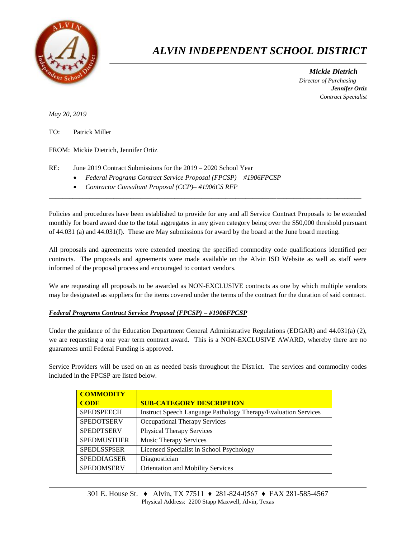

## *ALVIN INDEPENDENT SCHOOL DISTRICT*

 *Mickie Dietrich Director of Purchasing Jennifer Ortiz Contract Specialist*

*May 20, 2019*

TO: Patrick Miller

FROM: Mickie Dietrich, Jennifer Ortiz

RE: June 2019 Contract Submissions for the 2019 – 2020 School Year

- *Federal Programs Contract Service Proposal (FPCSP) – #1906FPCSP*
- *Contractor Consultant Proposal (CCP)– #1906CS RFP*

Policies and procedures have been established to provide for any and all Service Contract Proposals to be extended monthly for board award due to the total aggregates in any given category being over the \$50,000 threshold pursuant of 44.031 (a) and 44.031(f). These are May submissions for award by the board at the June board meeting.

 $\overline{a}$  , and the contribution of the contribution of the contribution of the contribution of the contribution of the contribution of the contribution of the contribution of the contribution of the contribution of the co

All proposals and agreements were extended meeting the specified commodity code qualifications identified per contracts. The proposals and agreements were made available on the Alvin ISD Website as well as staff were informed of the proposal process and encouraged to contact vendors.

We are requesting all proposals to be awarded as NON-EXCLUSIVE contracts as one by which multiple vendors may be designated as suppliers for the items covered under the terms of the contract for the duration of said contract.

## *Federal Programs Contract Service Proposal (FPCSP) – #1906FPCSP*

Under the guidance of the Education Department General Administrative Regulations (EDGAR) and 44.031(a) (2), we are requesting a one year term contract award. This is a NON-EXCLUSIVE AWARD, whereby there are no guarantees until Federal Funding is approved.

Service Providers will be used on an as needed basis throughout the District. The services and commodity codes included in the FPCSP are listed below.

| <b>COMMODITY</b>   |                                                                |
|--------------------|----------------------------------------------------------------|
| <b>CODE</b>        | <b>SUB-CATEGORY DESCRIPTION</b>                                |
| <b>SPEDSPEECH</b>  | Instruct Speech Language Pathology Therapy/Evaluation Services |
| <b>SPEDOTSERV</b>  | <b>Occupational Therapy Services</b>                           |
| <b>SPEDPTSERV</b>  | <b>Physical Therapy Services</b>                               |
| <b>SPEDMUSTHER</b> | Music Therapy Services                                         |
| <b>SPEDLSSPSER</b> | Licensed Specialist in School Psychology                       |
| <b>SPEDDIAGSER</b> | Diagnostician                                                  |
| <b>SPEDOMSERV</b>  | Orientation and Mobility Services                              |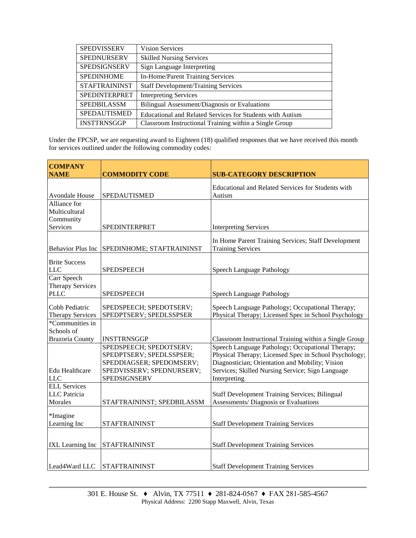| <b>SPEDVISSERV</b>   | <b>Vision Services</b>                                    |
|----------------------|-----------------------------------------------------------|
| <b>SPEDNURSERV</b>   | <b>Skilled Nursing Services</b>                           |
| <b>SPEDSIGNSERV</b>  | Sign Language Interpreting                                |
| <b>SPEDINHOME</b>    | In-Home/Parent Training Services                          |
| <b>STAFTRAININST</b> | <b>Staff Development/Training Services</b>                |
| <b>SPEDINTERPRET</b> | <b>Interpreting Services</b>                              |
| <b>SPEDBILASSM</b>   | Bilingual Assessment/Diagnosis or Evaluations             |
| <b>SPEDAUTISMED</b>  | Educational and Related Services for Students with Autism |
| <b>INSTTRNSGGP</b>   | Classroom Instructional Training within a Single Group    |

Under the FPCSP, we are requesting award to Eighteen (18) qualified responses that we have received this month for services outlined under the following commodity codes:

|                          | <b>SUB-CATEGORY DESCRIPTION</b>                                                                                                                                                                                                                                                  |
|--------------------------|----------------------------------------------------------------------------------------------------------------------------------------------------------------------------------------------------------------------------------------------------------------------------------|
|                          |                                                                                                                                                                                                                                                                                  |
|                          | Educational and Related Services for Students with                                                                                                                                                                                                                               |
| <b>SPEDAUTISMED</b>      | Autism                                                                                                                                                                                                                                                                           |
|                          |                                                                                                                                                                                                                                                                                  |
|                          |                                                                                                                                                                                                                                                                                  |
|                          |                                                                                                                                                                                                                                                                                  |
|                          | <b>Interpreting Services</b>                                                                                                                                                                                                                                                     |
|                          | In Home Parent Training Services; Staff Development                                                                                                                                                                                                                              |
|                          | <b>Training Services</b>                                                                                                                                                                                                                                                         |
|                          |                                                                                                                                                                                                                                                                                  |
|                          |                                                                                                                                                                                                                                                                                  |
| <b>SPEDSPEECH</b>        | Speech Language Pathology                                                                                                                                                                                                                                                        |
|                          |                                                                                                                                                                                                                                                                                  |
|                          |                                                                                                                                                                                                                                                                                  |
|                          | Speech Language Pathology                                                                                                                                                                                                                                                        |
|                          | Speech Language Pathology; Occupational Therapy;                                                                                                                                                                                                                                 |
|                          | Physical Therapy; Licensed Spec in School Psychology                                                                                                                                                                                                                             |
|                          |                                                                                                                                                                                                                                                                                  |
|                          |                                                                                                                                                                                                                                                                                  |
| <b>INSTTRNSGGP</b>       | Classroom Instructional Training within a Single Group                                                                                                                                                                                                                           |
| SPEDSPEECH; SPEDOTSERV;  | Speech Language Pathology; Occupational Therapy;                                                                                                                                                                                                                                 |
| SPEDPTSERV; SPEDLSSPSER; | Physical Therapy; Licensed Spec in School Psychology;                                                                                                                                                                                                                            |
| SPEDDIAGSER; SPEDOMSERV; | Diagnostician; Orientation and Mobility; Vision                                                                                                                                                                                                                                  |
|                          | Services; Skilled Nursing Service; Sign Language                                                                                                                                                                                                                                 |
|                          | Interpreting                                                                                                                                                                                                                                                                     |
|                          |                                                                                                                                                                                                                                                                                  |
|                          | <b>Staff Development Training Services; Bilingual</b>                                                                                                                                                                                                                            |
|                          | Assessments/ Diagnosis or Evaluations                                                                                                                                                                                                                                            |
|                          |                                                                                                                                                                                                                                                                                  |
|                          | <b>Staff Development Training Services</b>                                                                                                                                                                                                                                       |
|                          |                                                                                                                                                                                                                                                                                  |
|                          |                                                                                                                                                                                                                                                                                  |
| <b>STAFTRAININST</b>     | <b>Staff Development Training Services</b>                                                                                                                                                                                                                                       |
|                          |                                                                                                                                                                                                                                                                                  |
|                          | <b>Staff Development Training Services</b>                                                                                                                                                                                                                                       |
|                          | <b>COMMODITY CODE</b><br>SPEDINTERPRET<br>SPEDINHOME; STAFTRAININST<br><b>SPEDSPEECH</b><br>SPEDSPEECH; SPEDOTSERV;<br>SPEDPTSERV; SPEDLSSPSER<br>SPEDVISSERV; SPEDNURSERV;<br><b>SPEDSIGNSERV</b><br>STAFTRAININST; SPEDBILASSM<br><b>STAFTRAININST</b><br><b>STAFTRAININST</b> |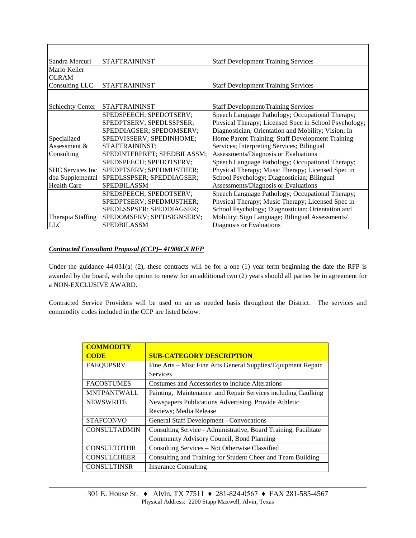| Sandra Mercuri          | <b>STAFTRAININST</b>        | <b>Staff Development Training Services</b>            |  |
|-------------------------|-----------------------------|-------------------------------------------------------|--|
| Marlo Keller            |                             |                                                       |  |
| <b>OLRAM</b>            |                             |                                                       |  |
| Consulting LLC          | <b>STAFTRAININST</b>        | <b>Staff Development Training Services</b>            |  |
|                         |                             |                                                       |  |
| <b>Schlechty Center</b> | <b>STAFTRAININST</b>        | <b>Staff Development/Training Services</b>            |  |
|                         | SPEDSPEECH; SPEDOTSERV;     | Speech Language Pathology; Occupational Therapy;      |  |
|                         | SPEDPTSERV; SPEDLSSPSER;    | Physical Therapy; Licensed Spec in School Psychology; |  |
|                         | SPEDDIAGSER; SPEDOMSERV;    | Diagnostician; Orientation and Mobility; Vision; In   |  |
| Specialized             | SPEDVISSERV; SPEDINHOME;    | Home Parent Training; Staff Development Training      |  |
| Assessment &            | STAFTRAININST;              | Services; Interpreting Services; Bilingual            |  |
| Consulting              | SPEDINTERPRET; SPEDBILASSM; | Assessments/Diagnosis or Evaluations                  |  |
|                         | SPEDSPEECH; SPEDOTSERV;     | Speech Language Pathology; Occupational Therapy;      |  |
| <b>SHC</b> Services Inc | SPEDPTSERV; SPEDMUSTHER;    | Physical Therapy; Music Therapy; Licensed Spec in     |  |
| dba Supplemental        | SPEDLSSPSER; SPEDDIAGSER;   | School Psychology; Diagnostician; Bilingual           |  |
| <b>Health Care</b>      | <b>SPEDBILASSM</b>          | Assessments/Diagnosis or Evaluations                  |  |
|                         | SPEDSPEECH; SPEDOTSERV;     | Speech Language Pathology; Occupational Therapy;      |  |
|                         | SPEDPTSERV; SPEDMUSTHER;    | Physical Therapy; Music Therapy; Licensed Spec in     |  |
|                         | SPEDLSSPSER; SPEDDIAGSER;   | School Psychology; Diagnostician; Orientation and     |  |
| Therapia Staffing       | SPEDOMSERV; SPEDSIGNSERV;   | Mobility; Sign Language; Bilingual Assessments/       |  |
| <b>LLC</b>              | <b>SPEDBILASSM</b>          | Diagnosis or Evaluations                              |  |

## *Contracted Consultant Proposal (CCP)– #1906CS RFP*

Under the guidance  $44.031(a)$  (2), these contracts will be for a one (1) year term beginning the date the RFP is awarded by the board, with the option to renew for an additional two (2) years should all parties be in agreement for a NON-EXCLUSIVE AWARD.

Contracted Service Providers will be used on an as needed basis throughout the District. The services and commodity codes included in the CCP are listed below:

| <b>COMMODITY</b>    |                                                                 |  |  |
|---------------------|-----------------------------------------------------------------|--|--|
| <b>CODE</b>         | <b>SUB-CATEGORY DESCRIPTION</b>                                 |  |  |
| <b>FAEQUPSRV</b>    | Fine Arts – Misc Fine Arts General Supplies/Equipment Repair    |  |  |
|                     | <b>Services</b>                                                 |  |  |
| <b>FACOSTUMES</b>   | Costumes and Accessories to include Alterations                 |  |  |
| <b>MNTPANTWALL</b>  | Painting, Maintenance and Repair Services including Caulking    |  |  |
| <b>NEWSWRITE</b>    | Newspapers Publications Advertising, Provide Athletic           |  |  |
|                     | Reviews; Media Release                                          |  |  |
| <b>STAFCONVO</b>    | <b>General Staff Development - Convocations</b>                 |  |  |
| <b>CONSULTADMIN</b> | Consulting Service - Administrative, Board Training, Facilitate |  |  |
|                     | Community Advisory Council, Bond Planning                       |  |  |
| <b>CONSULTOTHR</b>  | Consulting Services - Not Otherwise Classified                  |  |  |
| <b>CONSULCHEER</b>  | Consulting and Training for Student Cheer and Team Building     |  |  |
| <b>CONSULTINSR</b>  | <b>Insurance Consulting</b>                                     |  |  |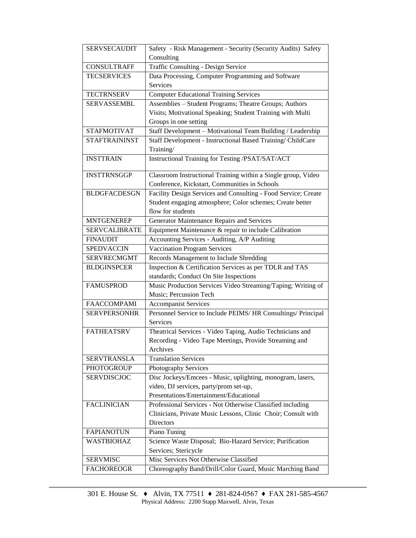| <b>SERVSECAUDIT</b>  |                                                                |  |  |  |
|----------------------|----------------------------------------------------------------|--|--|--|
|                      | Safety - Risk Management - Security (Security Audits) Safety   |  |  |  |
|                      | Consulting                                                     |  |  |  |
| <b>CONSULTRAFF</b>   | <b>Traffic Consulting - Design Service</b>                     |  |  |  |
| <b>TECSERVICES</b>   | Data Processing, Computer Programming and Software             |  |  |  |
|                      | Services                                                       |  |  |  |
| <b>TECTRNSERV</b>    | <b>Computer Educational Training Services</b>                  |  |  |  |
| <b>SERVASSEMBL</b>   | Assemblies - Student Programs; Theatre Groups; Authors         |  |  |  |
|                      | Visits; Motivational Speaking; Student Training with Multi     |  |  |  |
|                      | Groups in one setting                                          |  |  |  |
| <b>STAFMOTIVAT</b>   | Staff Development - Motivational Team Building / Leadership    |  |  |  |
| <b>STAFTRAININST</b> | Staff Development - Instructional Based Training/ ChildCare    |  |  |  |
|                      | Training/                                                      |  |  |  |
| <b>INSTTRAIN</b>     | Instructional Training for Testing /PSAT/SAT/ACT               |  |  |  |
| <b>INSTTRNSGGP</b>   | Classroom Instructional Training within a Single group, Video  |  |  |  |
|                      | Conference, Kickstart, Communities in Schools                  |  |  |  |
| <b>BLDGFACDESGN</b>  | Facility Design Services and Consulting - Food Service; Create |  |  |  |
|                      | Student engaging atmosphere; Color schemes; Create better      |  |  |  |
|                      | flow for students                                              |  |  |  |
| <b>MNTGENEREP</b>    | Generator Maintenance Repairs and Services                     |  |  |  |
| <b>SERVCALIBRATE</b> | Equipment Maintenance & repair to include Calibration          |  |  |  |
| <b>FINAUDIT</b>      | Accounting Services - Auditing, A/P Auditing                   |  |  |  |
| <b>SPEDVACCIN</b>    | <b>Vaccination Program Services</b>                            |  |  |  |
| <b>SERVRECMGMT</b>   | Records Management to Include Shredding                        |  |  |  |
| <b>BLDGINSPCER</b>   | Inspection & Certification Services as per TDLR and TAS        |  |  |  |
|                      | standards; Conduct On Site Inspections                         |  |  |  |
| <b>FAMUSPROD</b>     | Music Production Services Video Streaming/Taping; Writing of   |  |  |  |
|                      | Music; Percussion Tech                                         |  |  |  |
| <b>FAACCOMPAMI</b>   | <b>Accompanist Services</b>                                    |  |  |  |
| <b>SERVPERSONHR</b>  | Personnel Service to Include PEIMS/HR Consultings/ Principal   |  |  |  |
|                      | Services                                                       |  |  |  |
| <b>FATHEATSRV</b>    | Theatrical Services - Video Taping, Audio Technicians and      |  |  |  |
|                      | Recording - Video Tape Meetings, Provide Streaming and         |  |  |  |
|                      | Archives                                                       |  |  |  |
| <b>SERVTRANSLA</b>   | <b>Translation Services</b>                                    |  |  |  |
| <b>PHOTOGROUP</b>    | Photography Services                                           |  |  |  |
| <b>SERVDISCJOC</b>   | Disc Jockeys/Emcees - Music, uplighting, monogram, lasers,     |  |  |  |
|                      | video, DJ services, party/prom set-up,                         |  |  |  |
|                      | Presentations/Entertainment/Educational                        |  |  |  |
| <b>FACLINICIAN</b>   | Professional Services - Not Otherwise Classified including     |  |  |  |
|                      | Clinicians, Private Music Lessons, Clinic Choir; Consult with  |  |  |  |
|                      | <b>Directors</b>                                               |  |  |  |
| <b>FAPIANOTUN</b>    |                                                                |  |  |  |
|                      | Piano Tuning                                                   |  |  |  |
| <b>WASTBIOHAZ</b>    | Science Waste Disposal; Bio-Hazard Service; Purification       |  |  |  |
|                      | Services; Stericycle                                           |  |  |  |
| <b>SERVMISC</b>      | Misc Services Not Otherwise Classified                         |  |  |  |
| <b>FACHOREOGR</b>    | Choreography Band/Drill/Color Guard, Music Marching Band       |  |  |  |